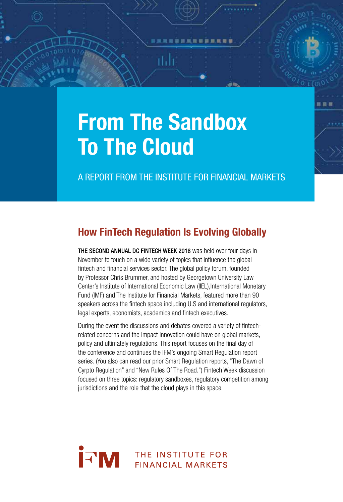# From The Sandbox To The Cloud

thb

A REPORT FROM THE INSTITUTE FOR FINANCIAL MARKETS

腰肩膜

# How FinTech Regulation Is Evolving Globally

THE SECOND ANNUAL DC FINTECH WEEK 2018 was held over four days in November to touch on a wide variety of topics that influence the global fintech and financial services sector. The global policy forum, founded by Professor Chris Brummer, and hosted by Georgetown University Law Center's Institute of International Economic Law (IIEL), International Monetary Fund (IMF) and The Institute for Financial Markets, featured more than 90 speakers across the fintech space including U.S and international regulators, legal experts, economists, academics and fintech executives.

During the event the discussions and debates covered a variety of fintechrelated concerns and the impact innovation could have on global markets, policy and ultimately regulations. This report focuses on the final day of the conference and continues the IFM's ongoing Smart Regulation report series. (You also can read our prior Smart Regulation reports, "The Dawn of Cyrpto Regulation" and "New Rules Of The Road.") Fintech Week discussion focused on three topics: regulatory sandboxes, regulatory competition among jurisdictions and the role that the cloud plays in this space.

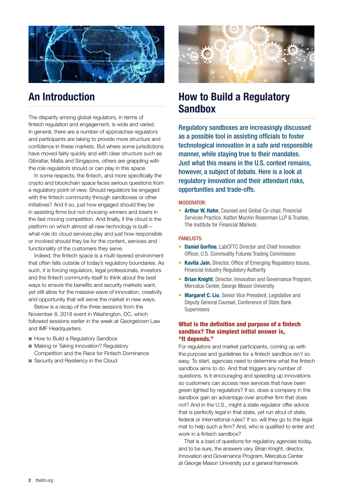

# An Introduction

The disparity among global regulators, in terms of fintech regulation and engagement, is wide and varied. In general, there are a number of approaches regulators and participants are taking to provide more structure and confidence in these markets. But where some jurisdictions have moved fairly quickly and with clear structure such as Gibraltar, Malta and Singapore, others are grappling with the role regulators should or can play in this space.

In some respects, the fintech, and more specifically the crypto and blockchain space faces serious questions from a regulatory point of view. Should regulators be engaged with the fintech community through sandboxes or other initiatives? And if so, just how engaged should they be in assisting firms but not choosing winners and losers in the fast moving competition. And finally, if the cloud is the platform on which almost all new technology is built what role do cloud services play and just how responsible or involved should they be for the content, services and functionality of the customers they serve.

Indeed, the fintech space is a multi-layered environment that often falls outside of today's regulatory boundaries. As such, it is forcing regulators, legal professionals, investors and the fintech community itself to think about the best ways to ensure the benefits and security markets want, yet still allow for the massive wave of innovation, creativity and opportunity that will serve the market in new ways.

Below is a recap of the three sessions from the November 8, 2018 event in Washington, DC, which followed sessions earlier in the week at Georgetown Law and IMF Headquarters.

- How to Build a Regulatory Sandbox
- Making or Taking Innovation? Regulatory Competition and the Race for Fintech Dominance
- Security and Resiliency in the Cloud



# How to Build a Regulatory Sandbox

Regulatory sandboxes are increasingly discussed as a possible tool in assisting officials to foster technological innovation in a safe and responsible manner, while staying true to their mandates. Just what this means in the U.S. context remains, however, a subject of debate. Here is a look at regulatory innovation and their attendant risks, opportunities and trade-offs.

#### MODERATOR:

• Arthur W. Hahn, Counsel and Global Co-chair, Financial Services Practice, Katten Muchin Rosenman LLP & Trustee, The Institute for Financial Markets

#### PANELISTS:

- Daniel Gorfine, LabCFTC Director and Chief Innovation Officer, U.S. Commodity Futures Trading Commission
- Kavita Jain, Director, Office of Emerging Regulatory Issues, Financial Industry Regulatory Authority
- Brian Knight, Director, Innovation and Governance Program, Mercatus Center, George Mason University
- Margaret C. Liu, Senior Vice President, Legislative and Deputy General Counsel, Conference of State Bank **Supervisors**

## What is the definition and purpose of a fintech sandbox? The simplest initial answer is, "It depends."

For regulators and market participants, coming up with the purpose and guidelines for a fintech sandbox isn't so easy. To start, agencies need to determine what the fintech sandbox aims to do. And that triggers any number of questions. Is it encouraging and speeding up innovations so customers can access new services that have been green lighted by regulators? If so, does a company in the sandbox gain an advantage over another firm that does not? And in the U.S., might a state regulator offer advice that is perfectly legal in that state, yet run afoul of state, federal or international rules? If so, will they go to the legal mat to help such a firm? And, who is qualified to enter and work in a fintech sandbox?

That is a load of questions for regulatory agencies today, and to be sure, the answers vary. Brian Knight, director, Innovation and Governance Program, Mercatus Center at George Mason University put a general framework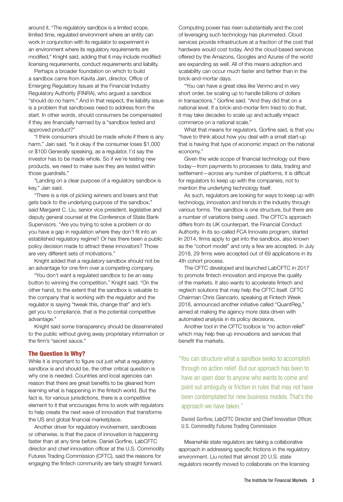around it. "The regulatory sandbox is a limited scope, limited time, regulated environment where an entity can work in conjunction with its regulator to experiment in an environment where its regulatory requirements are modified," Knight said, adding that it may include modified: licensing requirements, conduct requirements and liability.

Perhaps a broader foundation on which to build a sandbox came from Kavita Jain, director, Office of Emerging Regulatory Issues at the Financial Industry Regulatory Authority (FINRA), who argued a sandbox "should do no harm." And in that respect, the liability issue is a problem that sandboxes need to address from the start. In other words, should consumers be compensated if they are financially harmed by a "sandbox tested and approved product?"

"I think consumers should be made whole if there is any harm," Jain said. "Is it okay if the consumer loses \$1,000 or \$100 Generally speaking, as a regulator, I'd say the investor has to be made whole. So if we're testing new products, we need to make sure they are tested within those guardrails."

"Landing on a clear purpose of a regulatory sandbox is key," Jain said.

"There is a risk of picking winners and losers and that gets back to the underlying purpose of the sandbox," said Margaret C. Liu, senior vice president, legislative and deputy general counsel at the Conference of State Bank Supervisors. "Are you trying to solve a problem or do you have a gap in regulation where they don't fit into an established regulatory regime? Or has there been a public policy decision made to attract these innovators? Those are very different sets of motivations."

Knight added that a regulatory sandbox should not be an advantage for one firm over a competing company.

"You don't want a regulated sandbox to be an easy button to winning the competition," Knight said. "On the other hand, to the extent that the sandbox is valuable to the company that is working with the regulator and the regulator is saying "tweak this, change that" and let's get you to compliance, that is the potential competitive advantage."

Knight said some transparency should be disseminated to the public without giving away proprietary information or the firm's "secret sauce."

# The Question Is Why?

While it is important to figure out just what a regulatory sandbox is and should be, the other critical question is why one is needed. Countries and local agencies can reason that there are great benefits to be gleaned from learning what is happening in the fintech world. But the fact is, for various jurisdictions, there is a competitive element to it that encourages firms to work with regulators to help create the next wave of innovation that transforms the US and global financial marketplace.

Another driver for regulatory involvement, sandboxes or otherwise, is that the pace of innovation is happening faster than at any time before. Daniel Gorfine, LabCFTC director and chief innovation officer at the U.S. Commodity Futures Trading Commission (CFTC), said the reasons for engaging the fintech community are fairly straight forward.

Computing power has risen substantially and the cost of leveraging such technology has plummeted. Cloud services provide infrastructure at a fraction of the cost that hardware would cost today. And the cloud-based services offered by the Amazons, Googles and Azures of the world are expanding as well. All of this means adoption and scalability can occur much faster and farther than in the brick-and-mortar days.

"You can have a great idea like Venmo and in very short order, be scaling up to handle billions of dollars in transactions," Gorfine said. "And they did that on a national level. If a brick-and-mortar firm tried to do that, it may take decades to scale up and actually impact commerce on a national scale."

What that means for regulators, Gorfine said, is that you "have to think about how you deal with a small start-up that is having that type of economic impact on the national economy."

Given the wide scope of financial technology out there today—from payments to processes to data, trading and settlement—across any number of platforms, it is difficult for regulators to keep up with the companies, not to mention the underlying technology itself.

As such, regulators are looking for ways to keep up with technology, innovation and trends in the industry through various forms. The sandbox is one structure, but there are a number of variations being used. The CFTC's approach differs from its UK counterpart, the Financial Conduct Authority. In its so-called FCA Innovate program, started in 2014, firms apply to get into the sandbox, also known as the "cohort model" and only a few are accepted. In July 2018, 29 firms were accepted out of 69 applications in its 4th cohort process.

The CFTC developed and launched LabCFTC in 2017 to promote fintech innovation and improve the quality of the markets. It also wants to accelerate fintech and regtech solutions that may help the CFTC itself. CFTC Chairman Chris Giancarlo, speaking at Fintech Week 2018, announced another initiative called "QuantReg," aimed at making the agency more data driven with automated analysis in its policy decisions.

Another tool in the CFTC toolbox is "no action relief" which may help free up innovations and services that benefit the markets.

"You can structure what a sandbox seeks to accomplish through no action relief. But our approach has been to have an open door to anyone who wants to come and point out ambiguity or friction in rules that may not have been contemplated for new business models. That's the approach we have taken."

Daniel Gorfine, LabCFTC Director and Chief Innovation Officer, U.S. Commodity Futures Trading Commission

Meanwhile state regulators are taking a collaborative approach in addressing specific frictions in the regulatory environment. Liu noted that almost 20 U.S. state regulators recently moved to collaborate on the licensing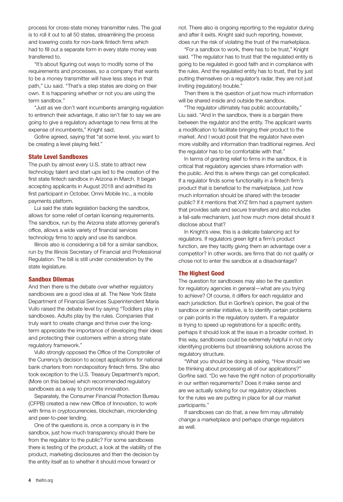process for cross-state money transmitter rules. The goal is to roll it out to all 50 states, streamlining the process and lowering costs for non-bank fintech firms which had to fill out a separate form in every state money was transferred to.

"It's about figuring out ways to modify some of the requirements and processes, so a company that wants to be a money transmitter will have less steps in that path," Liu said. "That's a step states are doing on their own. It is happening whether or not you are using the term sandbox."

"Just as we don't want incumbents arranging regulation to entrench their advantage, it also isn't fair to say we are going to give a regulatory advantage to new firms at the expense of incumbents," Knight said.

Gofine agreed, saying that "at some level, you want to be creating a level playing field."

#### State Level Sandboxes

The push by almost every U.S. state to attract new technology talent and start-ups led to the creation of the first state fintech sandbox in Arizona in March. It began accepting applicants in August 2018 and admitted its first participant in October, Omni Mobile Inc., a mobile payments platform.

Lui said the state legislation backing the sandbox, allows for some relief of certain licensing requirements. The sandbox, run by the Arizona state attorney general's office, allows a wide variety of financial services technology firms to apply and use its sandbox.

Illinois also is considering a bill for a similar sandbox, run by the Illinois Secretary of Financial and Professional Regulation. The bill is still under consideration by the state legislature.

#### Sandbox Dilemas

And then there is the debate over whether regulatory sandboxes are a good idea at all. The New York State Department of Financial Services Superintendent Maria Vullo raised the debate level by saying "Toddlers play in sandboxes. Adults play by the rules. Companies that truly want to create change and thrive over the longterm appreciate the importance of developing their ideas and protecting their customers within a strong state regulatory framework."

Vullo strongly opposed the Office of the Comptroller of the Currency's decision to accept applications for national bank charters from nondepository fintech firms. She also took exception to the U.S. Treasury Department's report, (More on this below) which recommended regulatory sandboxes as a way to promote innovation.

Separately, the Consumer Financial Protection Bureau (CFPB) created a new new Office of Innovation, to work with firms in cryptocurrencies, blockchain, microlending and peer-to-peer lending.

One of the questions is, once a company is in the sandbox, just how much transparency should there be from the regulator to the public? For some sandboxes there is testing of the product, a look at the viability of the product, marketing disclosures and then the decision by the entity itself as to whether it should move forward or

not. There also is ongoing reporting to the regulator during and after it exits. Knight said such reporting, however, does run the risk of violating the trust of the marketplace.

"For a sandbox to work, there has to be trust," Knight said. "The regulator has to trust that the regulated entity is going to be regulated in good faith and in compliance with the rules. And the regulated entity has to trust, that by just putting themselves on a regulator's radar, they are not just inviting (regulatory) trouble."

Then there is the question of just how much information will be shared inside and outside the sandbox.

"The regulator ultimately has public accountability," Liu said. "And in the sandbox, there is a bargain there between the regulator and the entity. The applicant wants a modification to facilitate bringing their product to the market. And I would posit that the regulator have even more visibility and information than traditional regimes. And the regulator has to be comfortable with that."

In terms of granting relief to firms in the sandbox, it is critical that regulatory agencies share information with the public. And this is where things can get complicated. If a regulator finds some functionality in a fintech firm's product that is beneficial to the marketplace, just how much information should be shared with the broader public? If it mentions that XYZ firm had a payment system that provides safe and secure transfers and also includes a fail-safe mechanism, just how much more detail should it disclose about that?

In Knight's view, this is a delicate balancing act for regulators. If regulators green light a firm's product function, are they tacitly giving them an advantage over a competitor? In other words, are firms that do not qualify or chose not to enter the sandbox at a disadvantage?

## The Highest Good

The question for sandboxes may also be the question for regulatory agencies in general—what are you trying to achieve? Of course, it differs for each regulator and each jurisdiction. But in Gorfine's opinion, the goal of the sandbox or similar initiative, is to identify certain problems or pain points in the regulatory system. If a regulator is trying to speed up registrations for a specific entity, perhaps it should look at the issue in a broader context. In this way, sandboxes could be extremely helpful in not only identifying problems but streamlining solutions across the regulatory structure.

"What you should be doing is asking, "How should we be thinking about processing all of our applications?" Gorfine said. "Do we have the right notion of proportionality in our written requirements? Does it make sense and are we actually solving for our regulatory objectives for the rules we are putting in place for all our market participants."

If sandboxes can do that, a new firm may ultimately change a marketplace and perhaps change regulators as well.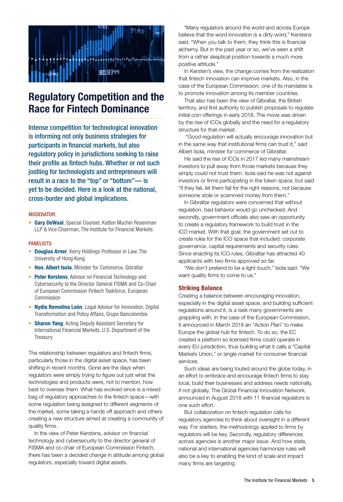

# Regulatory Competition and the Race for Fintech Dominance

Intense competition for technological innovation is informing not only business strategies for participants in financial markets, but also regulatory policy in jurisdictions seeking to raise their profile as fintech hubs. Whether or not such jostling for technologists and entrepreneurs will result in a race to the "top" or "bottom"— is yet to be decided. Here is a look at the national, cross-border and global implications.

## MODERATOR:

• Gary DeWaal, Special Counsel, Katten Muchin Rosenman LLP & Vice Chairman, The Institute for Financial Markets

#### PANELISTS:

- Douglas Arner, Kerry Holdings Professor in Law, The University of Hong Kong
- Hon. Albert Isola, Minister for Commerce, Gibraltar
- Peter Kerstens, Advisor on Financial Technology and Cybersecurity to the Director General FISMA and Co-Chair of European Commission Fintech Taskforce, European Commission
- Nydia Remolina León, Legal Advisor for Innovation, Digital Transformation and Policy Affairs, Grupo Bancolombia
- Sharon Yang, Acting Deputy Assistant Secretary for International Financial Markets, U.S. Department of the **Treasury**

The relationship between regulators and fintech firms, particularly those in the digital asset space, has been shifting in recent months. Gone are the days when regulators were simply trying to figure out just what the technologies and products were, not to mention, how best to oversee them. What has evolved since is a mixed bag of regulatory approaches to the fintech space—with some regulation being assigned to different segments of the market, some taking a hands off approach and others creating a new structure aimed at creating a community of quality firms.

In the view of Peter Kerstens, advisor on financial technology and cybersecurity to the director general of FISMA and co-chair of European Commission Fintech, there has been a decided change in attitude among global regulators, especially toward digital assets.

"Many regulators around the world and across Europe believe that the word innovation is a dirty word," Kerstens said. "When you talk to them, they think this is financial alchemy. But in the past year or so, we've seen a shift from a rather skeptical position towards a much more positive attitude."

In Kersten's view, the change comes from the realization that fintech innovation can improve markets. Also, in the case of the European Commission, one of its mandates is to promote innovation among its member countries.

That also has been the view of Gibraltar, the British territory, and first authority to publish proposals to regulate initial coin offerings in early 2018. The move was driven by the rise of ICOs globally and the need for a regulatory structure for that market.

 "Good regulation will actually encourage innovation but in the same way that institutional firms can trust it," said Albert Isola, minister for commerce of Gibraltar.

He said the rise of ICOs in 2017 led many mainstream investors to pull away from those markets because they simply could not trust them. Isola said he was not against investors or firms participating in the token space, but said "if they fail, let them fail for the right reasons, not because someone stole or scammed money from them."

In Gibraltar regulators were concerned that without regulation, bad behavior would go unchecked. And secondly, government officials also saw an opportunity to create a regulatory framework to build trust in the ICO market. With that goal, the government set out to create rules for the ICO space that included: corporate governance, capital requirements and security rules. Since enacting its ICO rules, Gibraltar has attracted 40 applicants with two firms approved so far.

"We don't pretend to be a light touch," Isola said. "We want quality firms to come to us."

#### Striking Balance

Creating a balance between encouraging innovation, especially in the digital asset space, and building sufficient regulations around it, is a task many governments are grappling with. In the case of the European Commission, it announced in March 2018 an "Action Plan" to make Europe the global hub for fintech. To do so, the EC created a platform so licensed firms could operate in every EU jurisdiction, thus building what it calls a "Capital Markets Union," or single market for consumer financial services.

Such ideas are being touted around the globe today, in an effort to embrace and encourage fintech firms to stay local, build their businesses and address needs nationally, if not globally. The Global Financial Innovation Network, announced in August 2018 with 11 financial regulators is one such effort.

But collaboration on fintech regulation calls for regulatory agencies to think about oversight in a different way. For starters, the methodology applied to firms by regulators will be key. Secondly, regulatory differences across agencies is another major issue. And how state, national and international agencies harmonize rules will also be a key to enabling the kind of scale and impact many firms are targeting.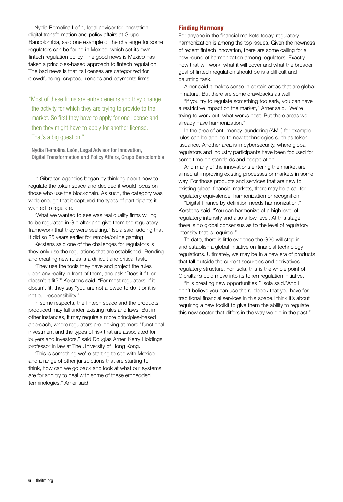Nydia Remolina León, legal advisor for innovation, digital transformation and policy affairs at Grupo Bancolombia, said one example of the challenge for some regulators can be found in Mexico, which set its own fintech regulation policy. The good news is Mexico has taken a principles-based approach to fintech regulation. The bad news is that its licenses are categorized for crowdfunding, cryptocurrencies and payments firms.

"Most of these firms are entrepreneurs and they change the activity for which they are trying to provide to the market. So first they have to apply for one license and then they might have to apply for another license. That's a big question."

Nydia Remolina León, Legal Advisor for Innovation, Digital Transformation and Policy Affairs, Grupo Bancolombia

In Gibraltar, agencies began by thinking about how to regulate the token space and decided it would focus on those who use the blockchain. As such, the category was wide enough that it captured the types of participants it wanted to regulate.

"What we wanted to see was real quality firms willing to be regulated in Gibraltar and give them the regulatory framework that they were seeking," Isola said, adding that it did so 25 years earlier for remote/online gaming.

Kerstens said one of the challenges for regulators is they only use the regulations that are established. Bending and creating new rules is a difficult and critical task.

"They use the tools they have and project the rules upon any reality in front of them, and ask "Does it fit, or doesn't it fit?'" Kerstens said. "For most regulators, if it doesn't fit, they say "you are not allowed to do it or it is not our responsibility."

In some respects, the fintech space and the products produced may fall under existing rules and laws. But in other instances, it may require a more principles-based approach, where regulators are looking at more "functional investment and the types of risk that are associated for buyers and investors," said Douglas Arner, Kerry Holdings professor in law at The University of Hong Kong.

"This is something we're starting to see with Mexico and a range of other jurisdictions that are starting to think, how can we go back and look at what our systems are for and try to deal with some of these embedded terminologies," Arner said.

## Finding Harmony

For anyone in the financial markets today, regulatory harmonization is among the top issues. Given the newness of recent fintech innovation, there are some calling for a new round of harmonization among regulators. Exactly how that will work, what it will cover and what the broader goal of fintech regulation should be is a difficult and daunting task.

Arner said it makes sense in certain areas that are global in nature. But there are some drawbacks as well.

"If you try to regulate something too early, you can have a restrictive impact on the market," Arner said. "We're trying to work out, what works best. But there areas we already have harmonization."

In the area of anti-money laundering (AML) for example, rules can be applied to new technologies such as token issuance. Another area is in cybersecurity, where global regulators and industry participants have been focused for some time on standards and cooperation.

And many of the innovations entering the market are aimed at improving existing processes or markets in some way. For those products and services that are new to existing global financial markets, there may be a call for regulatory equivalence, harmonization or recognition.

"Digital finance by definition needs harmonization," Kerstens said. "You can harmonize at a high level of regulatory intensity and also a low level. At this stage, there is no global consensus as to the level of regulatory intensity that is required."

To date, there is little evidence the G20 will step in and establish a global initiative on financial technology regulations. Ultimately, we may be in a new era of products that fall outside the current securities and derivatives regulatory structure. For Isola, this is the whole point of Gibraltar's bold move into its token regulation initiative.

"It is creating new opportunities," Isola said."And I don't believe you can use the rulebook that you have for traditional financial services in this space.I think it's about requiring a new toolkit to give them the ability to regulate this new sector that differs in the way we did in the past."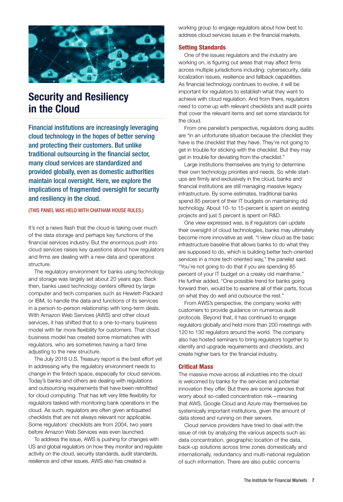

# Security and Resiliency in the Cloud

Financial institutions are increasingly leveraging cloud technology in the hopes of better serving and protecting their customers. But unlike traditional outsourcing in the financial sector, many cloud services are standardized and provided globally, even as domestic authorities maintain local oversight. Here, we explore the implications of fragmented oversight for security and resiliency in the cloud.

## (THIS PANEL WAS HELD WITH CHATHAM HOUSE RULES.)

It's not a news flash that the cloud is taking over much of the data storage and perhaps key functions of the financial services industry. But the enormous push into cloud services raises key questions about how regulators and firms are dealing with a new data and operations structure.

The regulatory environment for banks using technology and storage was largely set about 20 years ago. Back then, banks used technology centers offered by large computer and tech companies such as Hewlett-Packard or IBM, to handle the data and functions of its services in a person-to-person relationship with long-term deals. With Amazon Web Services (AWS) and other cloud services, it has shifted that to a one-to-many business model with far more flexibility for customers. That cloud business model has created some mismatches with regulators, who are sometimes having a hard time adjusting to the new structure.

The July 2018 U.S. Treasury report is the best effort yet in addressing why the regulatory environment needs to change in the fintech space, especially for cloud services. Today's banks and others are dealing with regulations and outsourcing requirements that have been retrofitted for cloud computing. That has left very little flexibility for regulators tasked with monitoring bank operations in the cloud. As such, regulators are often given antiquated checklists that are not always relevant nor applicable. Some regulators' checklists are from 2004, two years before Amazon Web Services was even launched.

To address the issue, AWS is pushing for changes with US and global regulators on how they monitor and regulate activity on the cloud, security standards, audit standards, resilience and other issues. AWS also has created a

working group to engage regulators about how best to address cloud services issues in the financial markets.

#### Setting Standards

One of the issues regulators and the industry are working on, is figuring out areas that may affect firms across multiple jurisdictions including: cybersecurity, data localization issues, resilience and fallback capabilities. As financial technology continues to evolve, it will be important for regulators to establish what they want to achieve with cloud regulation. And from there, regulators need to come up with relevant checklists and audit points that cover the relevant items and set some standards for the cloud.

From one panelist's perspective, regulators doing audits are "in an unfortunate situation because the checklist they have is the checklist that they have. They're not going to get in trouble for sticking with the checklist. But they may get in trouble for deviating from the checklist."

Large institutions themselves are trying to determine their own technology priorities and needs. So while startups are firmly and exclusively in the cloud, banks and financial institutions are still managing massive legacy infrastructure. By some estimates, traditional banks spend 85 percent of their IT budgets on maintaining old technology. About 10- to 15-percent is spent on existing projects and just 5 percent is spent on R&D.

One view expressed was, is if regulators can update their oversight of cloud technologies, banks may ultimately become more innovative as well. "I view cloud as the basic infrastructure baseline that allows banks to do what they are supposed to do, which is building better tech-oriented services in a more tech oriented way," the panelist said. "You're not going to do that if you are spending 85 percent of your IT budget on a creaky old mainframe." He further added, "One possible trend for banks going forward then, would be to examine all of their parts, focus on what they do well and outsource the rest."

From AWS's perspective, the company works with customers to provide guidance on numerous audit protocols. Beyond that, it has continued to engage regulators globally and held more than 200 meetings with 120 to 130 regulators around the world. The company also has hosted seminars to bring regulators together to identify and upgrade requirements and checklists, and create higher bars for the financial industry.

#### Critical Mass

The massive move across all industries into the cloud is welcomed by banks for the services and potential innovation they offer. But there are some agencies that worry about so-called concentration risk—meaning that AWS, Google Cloud and Azure may themselves be systemically important institutions, given the amount of data stored and running on their servers.

Cloud service providers have tried to deal with the issue of risk by analyzing the various aspects such as: data concentration, geographic location of the data, back-up solutions across time zones domestically and internationally, redundancy and multi-national regulation of such information. There are also public concerns